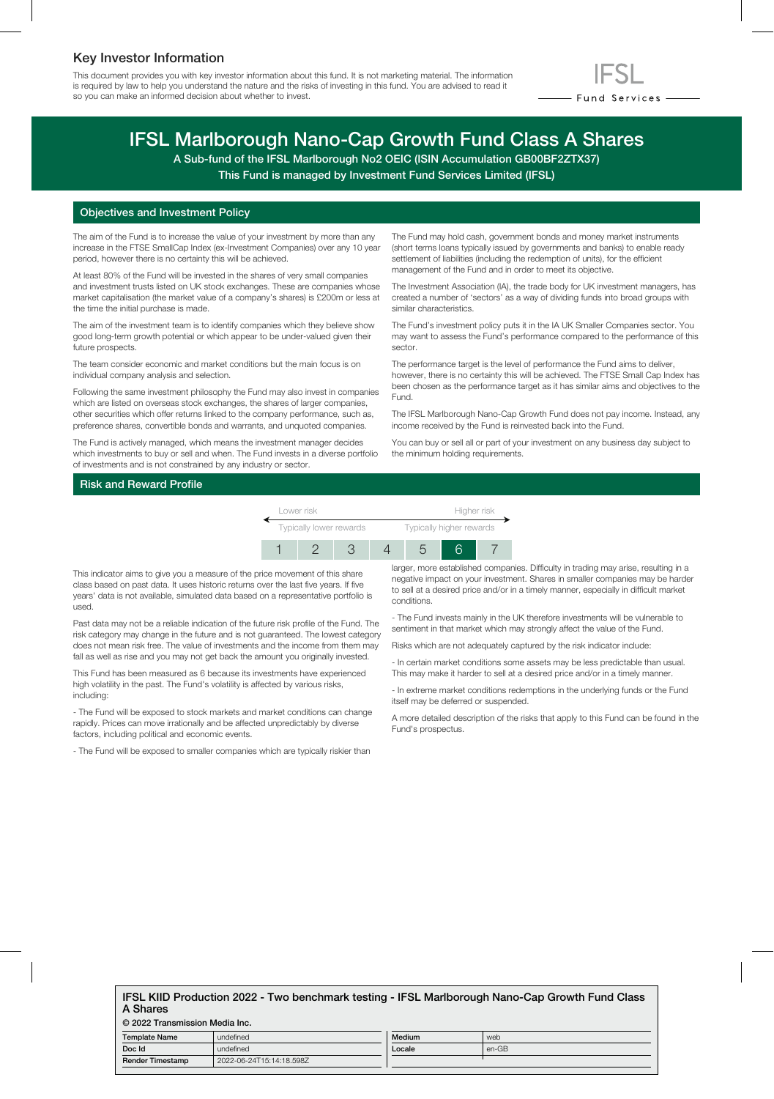## Key Investor Information

This document provides you with key investor information about this fund. It is not marketing material. The information is required by law to help you understand the nature and the risks of investing in this fund. You are advised to read it so you can make an informed decision about whether to invest.



# IFSL Marlborough Nano-Cap Growth Fund Class A Shares

A Sub-fund of the IFSL Marlborough No2 OEIC (ISIN Accumulation GB00BF2ZTX37)

This Fund is managed by Investment Fund Services Limited (IFSL)

### Objectives and Investment Policy

The aim of the Fund is to increase the value of your investment by more than any increase in the FTSE SmallCap Index (ex-Investment Companies) over any 10 year period, however there is no certainty this will be achieved.

At least 80% of the Fund will be invested in the shares of very small companies and investment trusts listed on UK stock exchanges. These are companies whose market capitalisation (the market value of a company's shares) is £200m or less at the time the initial purchase is made.

The aim of the investment team is to identify companies which they believe show good long-term growth potential or which appear to be under-valued given their future prospects.

The team consider economic and market conditions but the main focus is on individual company analysis and selection.

Following the same investment philosophy the Fund may also invest in companies which are listed on overseas stock exchanges, the shares of larger companies, other securities which offer returns linked to the company performance, such as, preference shares, convertible bonds and warrants, and unquoted companies.

The Fund is actively managed, which means the investment manager decides which investments to buy or sell and when. The Fund invests in a diverse portfolio of investments and is not constrained by any industry or sector.

The Fund may hold cash, government bonds and money market instruments (short terms loans typically issued by governments and banks) to enable ready settlement of liabilities (including the redemption of units), for the efficient management of the Fund and in order to meet its objective.

The Investment Association (IA), the trade body for UK investment managers, has created a number of 'sectors' as a way of dividing funds into broad groups with similar characteristics.

The Fund's investment policy puts it in the IA UK Smaller Companies sector. You may want to assess the Fund's performance compared to the performance of this sector.

The performance target is the level of performance the Fund aims to deliver, however, there is no certainty this will be achieved. The FTSE Small Cap Index has been chosen as the performance target as it has similar aims and objectives to the Fund.

The IFSL Marlborough Nano-Cap Growth Fund does not pay income. Instead, any income received by the Fund is reinvested back into the Fund.

You can buy or sell all or part of your investment on any business day subject to the minimum holding requirements.

## Risk and Reward Profile



This indicator aims to give you a measure of the price movement of this share class based on past data. It uses historic returns over the last five years. If five years' data is not available, simulated data based on a representative portfolio is used.

Past data may not be a reliable indication of the future risk profile of the Fund. The risk category may change in the future and is not guaranteed. The lowest category does not mean risk free. The value of investments and the income from them may fall as well as rise and you may not get back the amount you originally invested.

This Fund has been measured as 6 because its investments have experienced high volatility in the past. The Fund's volatility is affected by various risks, including:

- The Fund will be exposed to stock markets and market conditions can change rapidly. Prices can move irrationally and be affected unpredictably by diverse factors, including political and economic events.

- The Fund will be exposed to smaller companies which are typically riskier than

larger, more established companies. Difficulty in trading may arise, resulting in a negative impact on your investment. Shares in smaller companies may be harder to sell at a desired price and/or in a timely manner, especially in difficult market conditions.

- The Fund invests mainly in the UK therefore investments will be vulnerable to sentiment in that market which may strongly affect the value of the Fund.

Risks which are not adequately captured by the risk indicator include:

- In certain market conditions some assets may be less predictable than usual. This may make it harder to sell at a desired price and/or in a timely manner.

- In extreme market conditions redemptions in the underlying funds or the Fund itself may be deferred or suspended.

A more detailed description of the risks that apply to this Fund can be found in the Fund's prospectus.